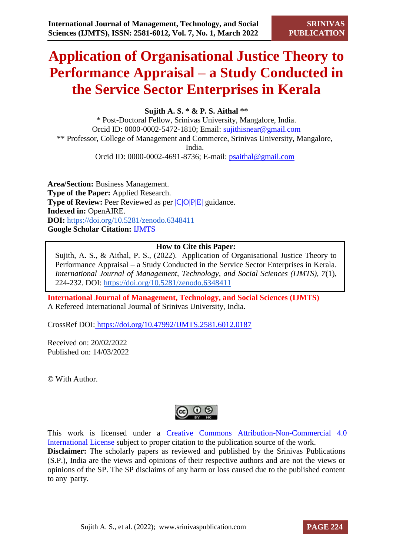# **Application of Organisational Justice Theory to Performance Appraisal – a Study Conducted in the Service Sector Enterprises in Kerala**

**Sujith A. S. \* & P. S. Aithal \*\***

\* Post-Doctoral Fellow, Srinivas University, Mangalore, India. Orcid ID: 0000-0002-5472-1810; Email: [sujithisnear@gmail.com](mailto:sujithisnear@gmail.com) \*\* Professor, College of Management and Commerce, Srinivas University, Mangalore, India.

Orcid ID: 0000-0002-4691-8736; E-mail: [psaithal@gmail.com](mailto:psaithal@gmail.com)

**Area/Section:** Business Management. **Type of the Paper:** Applied Research. **Type of Review:** Peer Reviewed as per  $|C|O||P|E|$  guidance. **Indexed in:** OpenAIRE. **DOI:** <https://doi.org/10.5281/zenodo.6348411> **Google Scholar Citation:** [IJMTS](https://scholar.google.com/citations?user=bphF0BQAAAAJ)

# **How to Cite this Paper:**

Sujith, A. S., & Aithal, P. S., (2022). Application of Organisational Justice Theory to Performance Appraisal – a Study Conducted in the Service Sector Enterprises in Kerala. *International Journal of Management, Technology, and Social Sciences (IJMTS), 7*(1), 224-232. DOI:<https://doi.org/10.5281/zenodo.6348411>

**International Journal of Management, Technology, and Social Sciences (IJMTS)** A Refereed International Journal of Srinivas University, India.

CrossRef DOI: [https://doi.org/10.47992/IJMTS.2581.6012.0187](https://search.crossref.org/?q=10.47992%2FIJMTS.2581.6012.0187&from_ui=yes)

Received on: 20/02/2022 Published on: 14/03/2022

© With Author.



This work is licensed under a Creative Commons Attribution-Non-Commercial 4.0 International License subject to proper citation to the publication source of the work. **Disclaimer:** The scholarly papers as reviewed and published by the Srinivas Publications (S.P.), India are the views and opinions of their respective authors and are not the views or opinions of the SP. The SP disclaims of any harm or loss caused due to the published content to any party.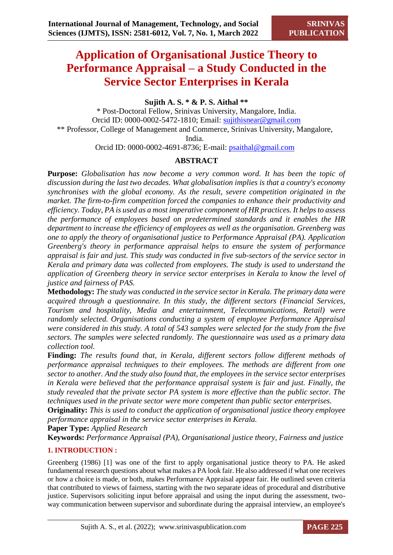# **Application of Organisational Justice Theory to Performance Appraisal – a Study Conducted in the Service Sector Enterprises in Kerala**

# **Sujith A. S. \* & P. S. Aithal \*\***

\* Post-Doctoral Fellow, Srinivas University, Mangalore, India. Orcid ID: 0000-0002-5472-1810; Email: [sujithisnear@gmail.com](mailto:sujithisnear@gmail.com) \*\* Professor, College of Management and Commerce, Srinivas University, Mangalore, India.

Orcid ID: 0000-0002-4691-8736; E-mail: [psaithal@gmail.com](mailto:psaithal@gmail.com)

# **ABSTRACT**

**Purpose:** *Globalisation has now become a very common word. It has been the topic of discussion during the last two decades. What globalisation implies is that a country's economy synchronises with the global economy. As the result, severe competition originated in the market. The firm-to-firm competition forced the companies to enhance their productivity and efficiency. Today, PA is used as a most imperative component of HR practices. It helps to assess the performance of employees based on predetermined standards and it enables the HR department to increase the efficiency of employees as well as the organisation. Greenberg was one to apply the theory of organisational justice to Performance Appraisal (PA). Application Greenberg's theory in performance appraisal helps to ensure the system of performance appraisal is fair and just. This study was conducted in five sub-sectors of the service sector in Kerala and primary data was collected from employees. The study is used to understand the application of Greenberg theory in service sector enterprises in Kerala to know the level of justice and fairness of PAS.*

**Methodology:** *The study was conducted in the service sector in Kerala. The primary data were acquired through a questionnaire. In this study, the different sectors (Financial Services, Tourism and hospitality, Media and entertainment, Telecommunications, Retail) were randomly selected. Organisations conducting a system of employee Performance Appraisal were considered in this study. A total of 543 samples were selected for the study from the five sectors. The samples were selected randomly. The questionnaire was used as a primary data collection tool.*

**Finding:** *The results found that, in Kerala, different sectors follow different methods of performance appraisal techniques to their employees. The methods are different from one sector to another. And the study also found that, the employees in the service sector enterprises in Kerala were believed that the performance appraisal system is fair and just. Finally, the study revealed that the private sector PA system is more effective than the public sector. The techniques used in the private sector were more competent than public sector enterprises.*

**Originality:** *This is used to conduct the application of organisational justice theory employee performance appraisal in the service sector enterprises in Kerala.*

**Paper Type:** *Applied Research*

**Keywords:** *Performance Appraisal (PA), Organisational justice theory, Fairness and justice*

### **1. INTRODUCTION :**

Greenberg (1986) [1] was one of the first to apply organisational justice theory to PA. He asked fundamental research questions about what makes a PA look fair. He also addressed if what one receives or how a choice is made, or both, makes Performance Appraisal appear fair. He outlined seven criteria that contributed to views of fairness, starting with the two separate ideas of procedural and distributive justice. Supervisors soliciting input before appraisal and using the input during the assessment, twoway communication between supervisor and subordinate during the appraisal interview, an employee's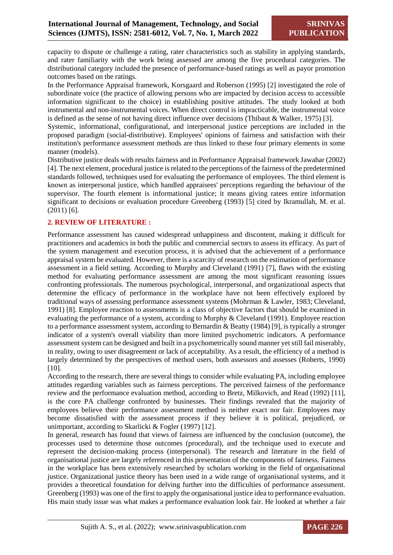capacity to dispute or challenge a rating, rater characteristics such as stability in applying standards, and rater familiarity with the work being assessed are among the five procedural categories. The distributional category included the presence of performance-based ratings as well as payor promotion outcomes based on the ratings.

In the Performance Appraisal framework, Korsgaard and Roberson (1995) [2] investigated the role of subordinate voice (the practice of allowing persons who are impacted by decision access to accessible information significant to the choice) in establishing positive attitudes. The study looked at both instrumental and non-instrumental voices. When direct control is impracticable, the instrumental voice is defined as the sense of not having direct influence over decisions (Thibaut & Walker, 1975) [3].

Systemic, informational, configurational, and interpersonal justice perceptions are included in the proposed paradigm (social-distributive). Employees' opinions of fairness and satisfaction with their institution's performance assessment methods are thus linked to these four primary elements in some manner (models).

Distributive justice deals with results fairness and in Performance Appraisal framework Jawahar (2002) [4]. The next element, procedural justice is related to the perceptions of the fairness of the predetermined standards followed, techniques used for evaluating the performance of employees. The third element is known as interpersonal justice, which handled appraisees' perceptions regarding the behaviour of the supervisor. The fourth element is informational justice; it means giving ratees entire information significant to decisions or evaluation procedure Greenberg (1993) [5] cited by Ikramullah, M. et al. (2011) [6].

#### **2. REVIEW OF LITERATURE :**

Performance assessment has caused widespread unhappiness and discontent, making it difficult for practitioners and academics in both the public and commercial sectors to assess its efficacy. As part of the system management and execution process, it is advised that the achievement of a performance appraisal system be evaluated. However, there is a scarcity of research on the estimation of performance assessment in a field setting. According to Murphy and Cleveland (1991) [7], flaws with the existing method for evaluating performance assessment are among the most significant reasoning issues confronting professionals. The numerous psychological, interpersonal, and organizational aspects that determine the efficacy of performance in the workplace have not been effectively explored by traditional ways of assessing performance assessment systems (Mohrman & Lawler, 1983; Cleveland, 1991) [8]. Employee reaction to assessments is a class of objective factors that should be examined in evaluating the performance of a system, according to Murphy & Cleveland (1991). Employee reaction to a performance assessment system, according to Bernardin & Beatty (1984) [9], is typically a stronger indicator of a system's overall viability than more limited psychometric indicators. A performance assessment system can be designed and built in a psychometrically sound manner yet still fail miserably, in reality, owing to user disagreement or lack of acceptability. As a result, the efficiency of a method is largely determined by the perspectives of method users, both assessors and assesses (Roberts, 1990) [10].

According to the research, there are several things to consider while evaluating PA, including employee attitudes regarding variables such as fairness perceptions. The perceived fairness of the performance review and the performance evaluation method, according to Bretz, Milkovich, and Read (1992) [11], is the core PA challenge confronted by businesses. Their findings revealed that the majority of employees believe their performance assessment method is neither exact nor fair. Employees may become dissatisfied with the assessment process if they believe it is political, prejudiced, or unimportant, according to Skarlicki & Fogler (1997) [12].

In general, research has found that views of fairness are influenced by the conclusion (outcome), the processes used to determine those outcomes (procedural), and the technique used to execute and represent the decision-making process (interpersonal). The research and literature in the field of organisational justice are largely referenced in this presentation of the components of fairness. Fairness in the workplace has been extensively researched by scholars working in the field of organisational justice. Organizational justice theory has been used in a wide range of organisational systems, and it provides a theoretical foundation for delving further into the difficulties of performance assessment. Greenberg (1993) was one of the first to apply the organisational justice idea to performance evaluation. His main study issue was what makes a performance evaluation look fair. He looked at whether a fair

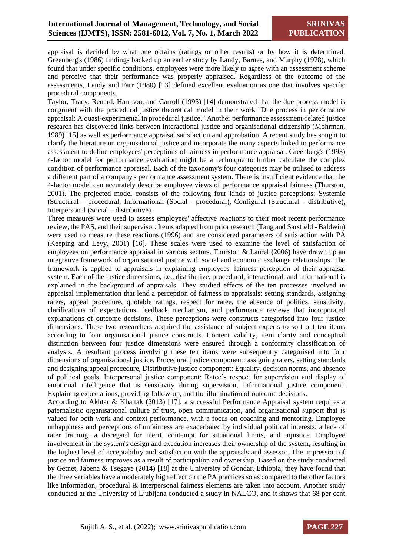appraisal is decided by what one obtains (ratings or other results) or by how it is determined. Greenberg's (1986) findings backed up an earlier study by Landy, Barnes, and Murphy (1978), which found that under specific conditions, employees were more likely to agree with an assessment scheme and perceive that their performance was properly appraised. Regardless of the outcome of the assessments, Landy and Farr (1980) [13] defined excellent evaluation as one that involves specific procedural components.

Taylor, Tracy, Renard, Harrison, and Carroll (1995) [14] demonstrated that the due process model is congruent with the procedural justice theoretical model in their work "Due process in performance appraisal: A quasi-experimental in procedural justice." Another performance assessment-related justice research has discovered links between interactional justice and organisational citizenship (Mohrman, 1989) [15] as well as performance appraisal satisfaction and approbation. A recent study has sought to clarify the literature on organisational justice and incorporate the many aspects linked to performance assessment to define employees' perceptions of fairness in performance appraisal. Greenberg's (1993) 4-factor model for performance evaluation might be a technique to further calculate the complex condition of performance appraisal. Each of the taxonomy's four categories may be utilised to address a different part of a company's performance assessment system. There is insufficient evidence that the 4-factor model can accurately describe employee views of performance appraisal fairness (Thurston, 2001). The projected model consists of the following four kinds of justice perceptions: Systemic (Structural – procedural, Informational (Social - procedural), Configural (Structural - distributive), Interpersonal (Social – distributive).

Three measures were used to assess employees' affective reactions to their most recent performance review, the PAS, and their supervisor. Items adapted from prior research (Tang and Sarsfield - Baldwin) were used to measure these reactions (1996) and are considered parameters of satisfaction with PA (Keeping and Levy, 2001) [16]. These scales were used to examine the level of satisfaction of employees on performance appraisal in various sectors. Thurston & Laurel **(**2006) have drawn up an integrative framework of organisational justice with social and economic exchange relationships. The framework is applied to appraisals in explaining employees' fairness perception of their appraisal system. Each of the justice dimensions, i.e., distributive, procedural, interactional, and informational is explained in the background of appraisals. They studied effects of the ten processes involved in appraisal implementation that lend a perception of fairness to appraisals: setting standards, assigning raters, appeal procedure, quotable ratings, respect for ratee, the absence of politics, sensitivity, clarifications of expectations, feedback mechanism, and performance reviews that incorporated explanations of outcome decisions. These perceptions were constructs categorised into four justice dimensions. These two researchers acquired the assistance of subject experts to sort out ten items according to four organisational justice constructs. Content validity, item clarity and conceptual distinction between four justice dimensions were ensured through a conformity classification of analysis. A resultant process involving these ten items were subsequently categorised into four dimensions of organisational justice. Procedural justice component: assigning raters, setting standards and designing appeal procedure, Distributive justice component: Equality, decision norms, and absence of political goals, Interpersonal justice component: Ratee's respect for supervision and display of emotional intelligence that is sensitivity during supervision, Informational justice component: Explaining expectations, providing follow-up, and the illumination of outcome decisions.

According to Akhtar & Khattak (2013) [17], a successful Performance Appraisal system requires a paternalistic organisational culture of trust, open communication, and organisational support that is valued for both work and context performance, with a focus on coaching and mentoring. Employee unhappiness and perceptions of unfairness are exacerbated by individual political interests, a lack of rater training, a disregard for merit, contempt for situational limits, and injustice. Employee involvement in the system's design and execution increases their ownership of the system, resulting in the highest level of acceptability and satisfaction with the appraisals and assessor. The impression of justice and fairness improves as a result of participation and ownership. Based on the study conducted by Getnet, Jabena & Tsegaye (2014) [18] at the University of Gondar, Ethiopia; they have found that the three variables have a moderately high effect on the PA practices so as compared to the other factors like information, procedural & interpersonal fairness elements are taken into account. Another study conducted at the University of Ljubljana conducted a study in NALCO, and it shows that 68 per cent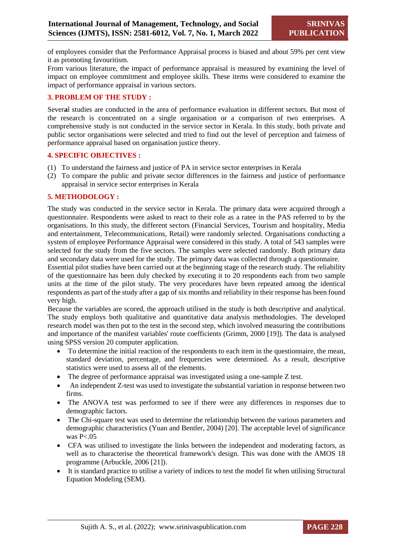of employees consider that the Performance Appraisal process is biased and about 59% per cent view it as promoting favouritism.

From various literature, the impact of performance appraisal is measured by examining the level of impact on employee commitment and employee skills. These items were considered to examine the impact of performance appraisal in various sectors.

#### **3. PROBLEM OF THE STUDY :**

Sever**a**l studies are conducted in the area of performance evaluation in different sectors. But most of the research is concentrated on a single organisation or a comparison of two enterprises. A comprehensive study is not conducted in the service sector in Kerala. In this study, both private and public sector organisations were selected and tried to find out the level of perception and fairness of performance appraisal based on organisation justice theory.

#### **4. SPECIFIC OBJECTIVES :**

- (1) To understand the fairness and justice of PA in service sector enterprises in Kerala
- (2) To compare the public and private sector differences in the fairness and justice of performance appraisal in service sector enterprises in Kerala

#### **5. METHODOLOGY :**

The study was conducted in the service sector in Kerala. The primary data were acquired through a questionnaire. Respondents were asked to react to their role as a ratee in the PAS referred to by the organisations. In this study, the different sectors (Financial Services, Tourism and hospitality, Media and entertainment, Telecommunications, Retail) were randomly selected. Organisations conducting a system of employee Performance Appraisal were considered in this study. A total of 543 samples were selected for the study from the five sectors. The samples were selected randomly. Both primary data and secondary data were used for the study. The primary data was collected through a questionnaire.

Essential pilot studies have been carried out at the beginning stage of the research study. The reliability of the questionnaire has been duly checked by executing it to 20 respondents each from two sample units at the time of the pilot study. The very procedures have been repeated among the identical respondents as part of the study after a gap of six months and reliability in their response has been found very high.

Because the variables are scored, the approach utilised in the study is both descriptive and analytical. The study employs both qualitative and quantitative data analysis methodologies. The developed research model was then put to the test in the second step, which involved measuring the contributions and importance of the manifest variables' route coefficients (Grimm, 2000 [19]). The data is analysed using SPSS version 20 computer application.

- To determine the initial reaction of the respondents to each item in the questionnaire, the mean, standard deviation, percentage, and frequencies were determined. As a result, descriptive statistics were used to assess all of the elements.
- The degree of performance appraisal was investigated using a one-sample Z test.
- An independent Z-test was used to investigate the substantial variation in response between two firms.
- The ANOVA test was performed to see if there were any differences in responses due to demographic factors.
- The Chi-square test was used to determine the relationship between the various parameters and demographic characteristics (Yuan and Bentler, 2004) [20]. The acceptable level of significance was P<.05
- CFA was utilised to investigate the links between the independent and moderating factors, as well as to characterise the theoretical framework's design. This was done with the AMOS 18 programme (Arbuckle, 2006 [21]).
- It is standard practice to utilise a variety of indices to test the model fit when utilising Structural Equation Modeling (SEM).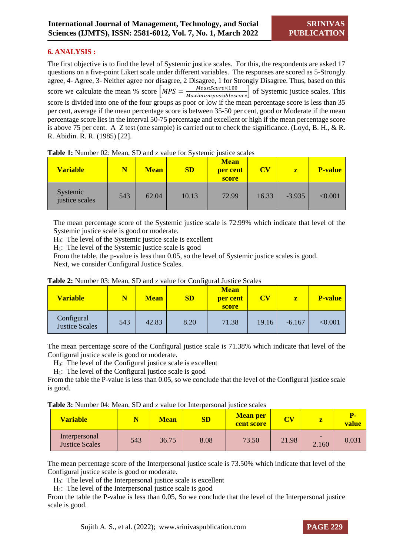#### **6. ANALYSIS :**

The first objective is to find the level of Systemic justice scales. For this, the respondents are asked 17 questions on a five-point Likert scale under different variables. The responses are scored as 5-Strongly agree, 4- Agree, 3- Neither agree nor disagree, 2 Disagree, 1 for Strongly Disagree. Thus, based on this score we calculate the mean % score  $MPS = \frac{MeanScore \times 100}{Maximumrecibles}$ ] of Systemic justice scales. This score is divided into one of the four groups as poor or low if the mean percentage score is less than 35 per cent, average if the mean percentage score is between 35-50 per cent, good or Moderate if the mean percentage score lies in the interval 50-75 percentage and excellent or high if the mean percentage score is above 75 per cent. A Z test (one sample) is carried out to check the significance. (Loyd, B. H., & R. R. Abidin. R. R. (1985) [22].

| <b>Variable</b>            |     | <b>Mean</b> | SD    | <b>Mean</b><br>per cent<br>score | <b>CV</b> | $\mathbf{z}$ | <b>P-value</b> |
|----------------------------|-----|-------------|-------|----------------------------------|-----------|--------------|----------------|
| Systemic<br>justice scales | 543 | 62.04       | 10.13 | 72.99                            | 16.33     | $-3.935$     | $<\!\!0.001$   |

**Table 1:** Number 02: Mean, SD and z value for Systemic justice scales

The mean percentage score of the Systemic justice scale is 72.99% which indicate that level of the Systemic justice scale is good or moderate.

 $H<sub>0</sub>$ : The level of the Systemic justice scale is excellent

 $H<sub>1</sub>$ : The level of the Systemic justice scale is good

From the table, the p-value is less than 0.05, so the level of Systemic justice scales is good. Next, we consider Configural Justice Scales.

| <b>Variable</b>                     |     | <b>Mean</b> | SD   | <b>Mean</b><br>per cent<br>score | $\mathbf{C}\mathbf{V}$<br>z |          | <b>P-value</b> |
|-------------------------------------|-----|-------------|------|----------------------------------|-----------------------------|----------|----------------|
| Configural<br><b>Justice Scales</b> | 543 | 42.83       | 8.20 | 71.38                            | 19.16                       | $-6.167$ | < 0.001        |

#### **Table 2:** Number 03: Mean, SD and z value for Configural Justice Scales

The mean percentage score of the Configural justice scale is 71.38% which indicate that level of the Configural justice scale is good or moderate.

 $H<sub>0</sub>$ : The level of the Configural justice scale is excellent

 $H<sub>1</sub>$ : The level of the Configural justice scale is good

From the table the P-value is less than 0.05, so we conclude that the level of the Configural justice scale is good.

| Table 3: Number 04: Mean, SD and z value for Interpersonal justice scales |  |  |
|---------------------------------------------------------------------------|--|--|
|---------------------------------------------------------------------------|--|--|

| <b>Variable</b>                        |     | Mean  | SD   | <b>Mean per</b><br><b>cent score</b> | $\overline{\text{CV}}$ | z     | Р.<br>value |
|----------------------------------------|-----|-------|------|--------------------------------------|------------------------|-------|-------------|
| Interpersonal<br><b>Justice Scales</b> | 543 | 36.75 | 8.08 | 73.50                                | 21.98                  | 2.160 | 0.031       |

The mean percentage score of the Interpersonal justice scale is 73.50% which indicate that level of the Configural justice scale is good or moderate.

H0: The level of the Interpersonal justice scale is excellent

 $H_1$ : The level of the Interpersonal justice scale is good

From the table the P-value is less than 0.05, So we conclude that the level of the Interpersonal justice scale is good.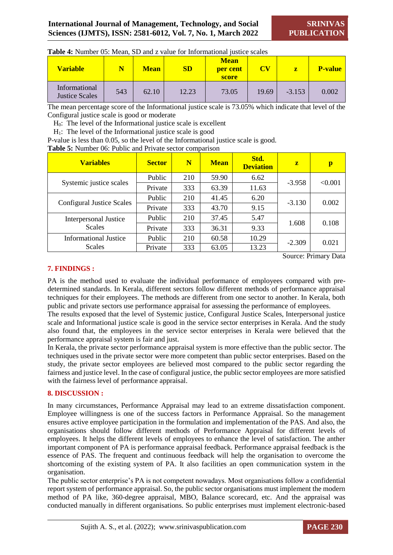| Table 4: Number 05: Mean, SD and z value for Informational justice scales |
|---------------------------------------------------------------------------|
|---------------------------------------------------------------------------|

| <b>Variable</b>                        | N   | <b>Mean</b> | <b>SD</b> | <b>Mean</b><br>per cent<br>score | $\mathbf{CV}$ | z        | <b>P-value</b> |
|----------------------------------------|-----|-------------|-----------|----------------------------------|---------------|----------|----------------|
| Informational<br><b>Justice Scales</b> | 543 | 62.10       | 12.23     | 73.05                            | 19.69         | $-3.153$ | 0.002          |

The mean percentage score of the Informational justice scale is 73.05% which indicate that level of the Configural justice scale is good or moderate

 $H<sub>0</sub>$ : The level of the Informational justice scale is excellent

 $H<sub>1</sub>$ : The level of the Informational justice scale is good

P-value is less than 0.05, so the level of the Informational justice scale is good.

**Table 5:** Number 06: Public and Private sector comparison

| <b>Variables</b>                 | <b>Sector</b> | N   | <b>Mean</b> | Std.<br><b>Deviation</b> | $\mathbf{z}$ | p       |
|----------------------------------|---------------|-----|-------------|--------------------------|--------------|---------|
| Systemic justice scales          | Public        | 210 | 59.90       | 6.62                     | $-3.958$     | < 0.001 |
|                                  | Private       | 333 | 63.39       | 11.63                    |              |         |
|                                  | Public        | 210 | 41.45       | 6.20                     |              | 0.002   |
| <b>Configural Justice Scales</b> | Private       | 333 | 43.70       | 9.15                     | $-3.130$     |         |
| <b>Interpersonal Justice</b>     | Public        | 210 | 37.45       | 5.47                     | 1.608        | 0.108   |
| <b>Scales</b>                    | Private       | 333 | 36.31       | 9.33                     |              |         |
| <b>Informational Justice</b>     | Public        | 210 | 60.58       | 10.29                    | $-2.309$     | 0.021   |
| Scales                           | Private       | 333 | 63.05       | 13.23                    |              |         |

Source: Primary Data

#### **7. FINDINGS :**

PA is the method used to evaluate the individual performance of employees compared with predetermined standards. In Kerala, different sectors follow different methods of performance appraisal techniques for their employees. The methods are different from one sector to another. In Kerala, both public and private sectors use performance appraisal for assessing the performance of employees.

The results exposed that the level of Systemic justice, Configural Justice Scales, Interpersonal justice scale and Informational justice scale is good in the service sector enterprises in Kerala. And the study also found that, the employees in the service sector enterprises in Kerala were believed that the performance appraisal system is fair and just.

In Kerala, the private sector performance appraisal system is more effective than the public sector. The techniques used in the private sector were more competent than public sector enterprises. Based on the study, the private sector employees are believed most compared to the public sector regarding the fairness and justice level. In the case of configural justice, the public sector employees are more satisfied with the fairness level of performance appraisal.

#### **8. DISCUSSION :**

In many circumstances, Performance Appraisal may lead to an extreme dissatisfaction component. Employee willingness is one of the success factors in Performance Appraisal. So the management ensures active employee participation in the formulation and implementation of the PAS. And also, the organisations should follow different methods of Performance Appraisal for different levels of employees. It helps the different levels of employees to enhance the level of satisfaction. The anther important component of PA is performance appraisal feedback. Performance appraisal feedback is the essence of PAS. The frequent and continuous feedback will help the organisation to overcome the shortcoming of the existing system of PA. It also facilities an open communication system in the organisation.

The public sector enterprise's PA is not competent nowadays. Most organisations follow a confidential report system of performance appraisal. So, the public sector organisations must implement the modern method of PA like, 360-degree appraisal, MBO, Balance scorecard, etc. And the appraisal was conducted manually in different organisations. So public enterprises must implement electronic-based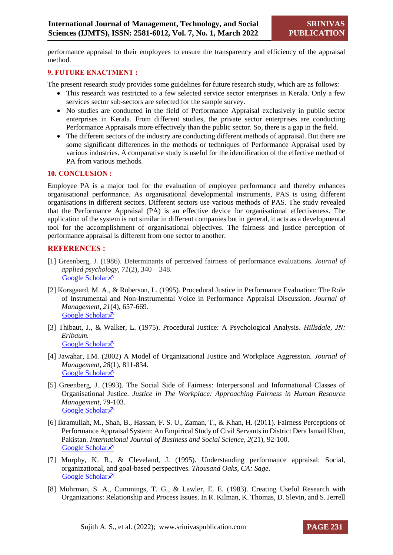performance appraisal to their employees to ensure the transparency and efficiency of the appraisal method.

#### **9. FUTURE ENACTMENT :**

The present research study provides some guidelines for future research study, which are as follows:

- This research was restricted to a few selected service sector enterprises in Kerala. Only a few services sector sub-sectors are selected for the sample survey.
- No studies are conducted in the field of Performance Appraisal exclusively in public sector enterprises in Kerala. From different studies, the private sector enterprises are conducting Performance Appraisals more effectively than the public sector. So, there is a gap in the field.
- The different sectors of the industry are conducting different methods of appraisal. But there are some significant differences in the methods or techniques of Performance Appraisal used by various industries. A comparative study is useful for the identification of the effective method of PA from various methods.

#### **10. CONCLUSION :**

Employee PA is a major tool for the evaluation of employee performance and thereby enhances organisational performance. As organisational developmental instruments, PAS is using different organisations in different sectors. Different sectors use various methods of PAS. The study revealed that the Performance Appraisal (PA) is an effective device for organisational effectiveness. The application of the system is not similar in different companies but in general, it acts as a developmental tool for the accomplishment of organisational objectives. The fairness and justice perception of performance appraisal is different from one sector to another.

#### **REFERENCES :**

- [1] Greenberg, J. (1986). Determinants of perceived fairness of performance evaluations. *Journal of applied psychology*, *71*(2), 340 – 348. [Google Scholar](https://psycnet.apa.org/doiLanding?doi=10.1037/0021-9010.71.2.340) ×
- [2] Korsgaard, M. A., & Roberson, L. (1995). Procedural Justice in Performance Evaluation: The Role of Instrumental and Non-Instrumental Voice in Performance Appraisal Discussion. *Journal of Management*, *21*(4), 657-669. [Google Scholar](https://journals.sagepub.com/doi/abs/10.1177/014920639502100404) ×
- [3] Thibaut, J., & Walker, L. (1975). Procedural Justice: A Psychological Analysis*. Hillsdale, JN: Erlbaum.* [Google Scholar](https://www.scirp.org/(S(351jmbntvnsjt1aadkposzje))/reference/referencespapers.aspx?referenceid=1656023) ×
- [4] Jawahar, I.M. (2002) A Model of Organizational Justice and Workplace Aggression. *Journal of Management, 28*(1), 811-834. [Google Scholar](https://journals.sagepub.com/doi/abs/10.1177/014920630202800606) ×
- [5] Greenberg, J. (1993). The Social Side of Fairness: Interpersonal and Informational Classes of Organisational Justice. *Justice in The Workplace: Approaching Fairness in Human Resource Management,* 79-103. [Google Scholar](http://www.andidas.com/academic/lse/CompleteSummaries.pdf)<sup> $\bar{x}$ </sup>
- [6] Ikramullah, M., Shah, B., Hassan, F. S. U., Zaman, T., & Khan, H. (2011). Fairness Perceptions of Performance Appraisal System: An Empirical Study of Civil Servants in District Dera Ismail Khan, Pakistan. *International Journal of Business and Social Science*, *2*(21), 92-100. [Google Scholar](https://www.academia.edu/download/37182025/12.pdf) ×
- [7] Murphy, K. R., & Cleveland, J. (1995). Understanding performance appraisal: Social, organizational, and goal-based perspectives. *Thousand Oaks, CA: Sage*. [Google Scholar](https://books.google.com/books?hl=en&lr=&id=CnpuE09Vit0C&oi=fnd&pg=PP15&dq=Murphy,+K.+R.,+%26+Cleveland,+J.+(1995).+Understanding+performance+appraisal:+Social,+organizational,+and+goal-based+perspectives.+Thousand+Oaks,+CA:+Sage.&ots=mesjz2OonU&sig=W758v0-r4voUlV-MNEJfNFFSotU) ×
- [8] Mohrman, S. A., Cummings, T. G., & Lawler, E. E. (1983). Creating Useful Research with Organizations: Relationship and Process Issues. In R. Kilman, K. Thomas, D. Slevin, and S. Jerrell